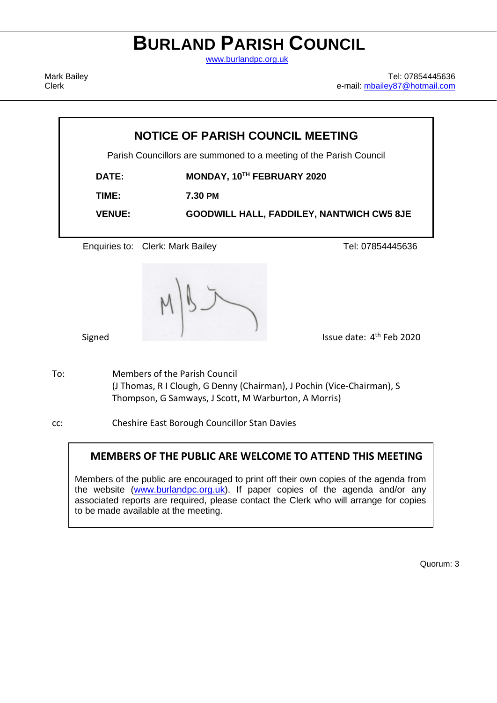# **BURLAND PARISH COUNCIL**

[www.burlandpc.org.uk](http://www.burlandpc.org.uk/)

Mark Bailey Clerk

Tel: 07854445636 e-mail: [mbailey87@hotmail.com](mailto:mbailey87@hotmail.com)

| <b>NOTICE OF PARISH COUNCIL MEETING</b> |                                                                    |                                                  |  |
|-----------------------------------------|--------------------------------------------------------------------|--------------------------------------------------|--|
|                                         | Parish Councillors are summoned to a meeting of the Parish Council |                                                  |  |
| <b>DATE:</b>                            | MONDAY, 10TH FEBRUARY 2020                                         |                                                  |  |
| TIME:                                   | 7.30 PM                                                            |                                                  |  |
| <b>VENUE:</b>                           |                                                                    | <b>GOODWILL HALL, FADDILEY, NANTWICH CW5 8JE</b> |  |
|                                         |                                                                    |                                                  |  |
|                                         | Enquiries to: Clerk: Mark Bailey                                   | Tel: 07854445636                                 |  |
|                                         |                                                                    |                                                  |  |

Signed **Issue date:** 4<sup>th</sup> Feb 2020

To: Members of the Parish Council (J Thomas, R I Clough, G Denny (Chairman), J Pochin (Vice-Chairman), S Thompson, G Samways, J Scott, M Warburton, A Morris)

cc: Cheshire East Borough Councillor Stan Davies

# **MEMBERS OF THE PUBLIC ARE WELCOME TO ATTEND THIS MEETING**

Members of the public are encouraged to print off their own copies of the agenda from the website [\(www.burlandpc.org.uk\)](http://www.burlandpc.org.uk/). If paper copies of the agenda and/or any associated reports are required, please contact the Clerk who will arrange for copies to be made available at the meeting.

Quorum: 3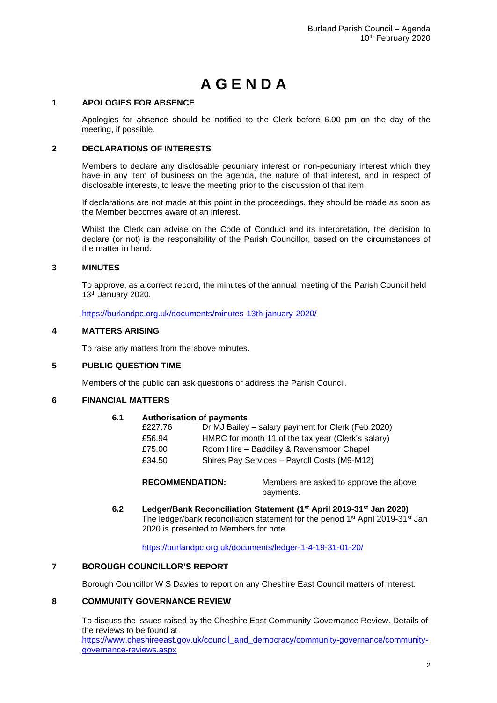# **A G E N D A**

#### **1 APOLOGIES FOR ABSENCE**

Apologies for absence should be notified to the Clerk before 6.00 pm on the day of the meeting, if possible.

#### **2 DECLARATIONS OF INTERESTS**

Members to declare any disclosable pecuniary interest or non-pecuniary interest which they have in any item of business on the agenda, the nature of that interest, and in respect of disclosable interests, to leave the meeting prior to the discussion of that item.

If declarations are not made at this point in the proceedings, they should be made as soon as the Member becomes aware of an interest.

Whilst the Clerk can advise on the Code of Conduct and its interpretation, the decision to declare (or not) is the responsibility of the Parish Councillor, based on the circumstances of the matter in hand.

#### **3 MINUTES**

To approve, as a correct record, the minutes of the annual meeting of the Parish Council held 13th January 2020.

<https://burlandpc.org.uk/documents/minutes-13th-january-2020/>

#### **4 MATTERS ARISING**

To raise any matters from the above minutes.

#### **5 PUBLIC QUESTION TIME**

Members of the public can ask questions or address the Parish Council.

# **6 FINANCIAL MATTERS**

#### **6.1 Authorisation of payments**

| £227.76 | Dr MJ Bailey - salary payment for Clerk (Feb 2020) |
|---------|----------------------------------------------------|
| £56.94  | HMRC for month 11 of the tax year (Clerk's salary) |
| £75.00  | Room Hire - Baddiley & Ravensmoor Chapel           |
| £34.50  | Shires Pay Services - Payroll Costs (M9-M12)       |

**RECOMMENDATION:** Members are asked to approve the above payments.

**6.2 Ledger/Bank Reconciliation Statement (1st April 2019-31st Jan 2020)** The ledger/bank reconciliation statement for the period 1<sup>st</sup> April 2019-31<sup>st</sup> Jan 2020 is presented to Members for note.

# <https://burlandpc.org.uk/documents/ledger-1-4-19-31-01-20/>

#### **7 BOROUGH COUNCILLOR'S REPORT**

Borough Councillor W S Davies to report on any Cheshire East Council matters of interest.

# **8 COMMUNITY GOVERNANCE REVIEW**

To discuss the issues raised by the Cheshire East Community Governance Review. Details of the reviews to be found at [https://www.cheshireeast.gov.uk/council\\_and\\_democracy/community-governance/community](https://www.cheshireeast.gov.uk/council_and_democracy/community-governance/community-governance-reviews.aspx)[governance-reviews.aspx](https://www.cheshireeast.gov.uk/council_and_democracy/community-governance/community-governance-reviews.aspx)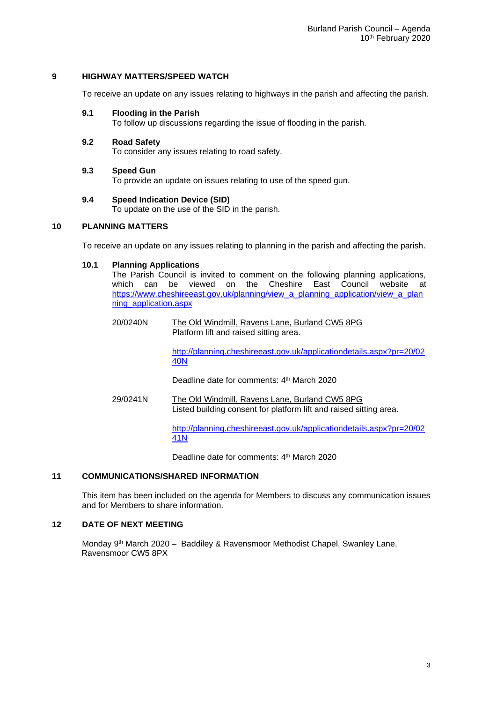#### **9 HIGHWAY MATTERS/SPEED WATCH**

To receive an update on any issues relating to highways in the parish and affecting the parish.

#### **9.1 Flooding in the Parish**

To follow up discussions regarding the issue of flooding in the parish.

# **9.2 Road Safety**

To consider any issues relating to road safety.

#### **9.3 Speed Gun**

To provide an update on issues relating to use of the speed gun.

#### **9.4 Speed Indication Device (SID)**

To update on the use of the SID in the parish.

# **10 PLANNING MATTERS**

To receive an update on any issues relating to planning in the parish and affecting the parish.

#### **10.1 Planning Applications**

The Parish Council is invited to comment on the following planning applications,<br>which can be viewed on the Cheshire East Council website at which can be viewed on the Cheshire East Council website at [https://www.cheshireeast.gov.uk/planning/view\\_a\\_planning\\_application/view\\_a\\_plan](https://www.cheshireeast.gov.uk/planning/view_a_planning_application/view_a_planning_application.aspx) [ning\\_application.aspx](https://www.cheshireeast.gov.uk/planning/view_a_planning_application/view_a_planning_application.aspx)

20/0240N The Old Windmill, Ravens Lane, Burland CW5 8PG Platform lift and raised sitting area.

> [http://planning.cheshireeast.gov.uk/applicationdetails.aspx?pr=20/02](http://planning.cheshireeast.gov.uk/applicationdetails.aspx?pr=20/0240N) [40N](http://planning.cheshireeast.gov.uk/applicationdetails.aspx?pr=20/0240N)

Deadline date for comments: 4th March 2020

29/0241N The Old Windmill, Ravens Lane, Burland CW5 8PG Listed building consent for platform lift and raised sitting area.

> [http://planning.cheshireeast.gov.uk/applicationdetails.aspx?pr=20/02](http://planning.cheshireeast.gov.uk/applicationdetails.aspx?pr=20/0241N) [41N](http://planning.cheshireeast.gov.uk/applicationdetails.aspx?pr=20/0241N)

Deadline date for comments: 4<sup>th</sup> March 2020

#### **11 COMMUNICATIONS/SHARED INFORMATION**

This item has been included on the agenda for Members to discuss any communication issues and for Members to share information.

#### **12 DATE OF NEXT MEETING**

Monday 9<sup>th</sup> March 2020 - Baddiley & Ravensmoor Methodist Chapel, Swanley Lane, Ravensmoor CW5 8PX